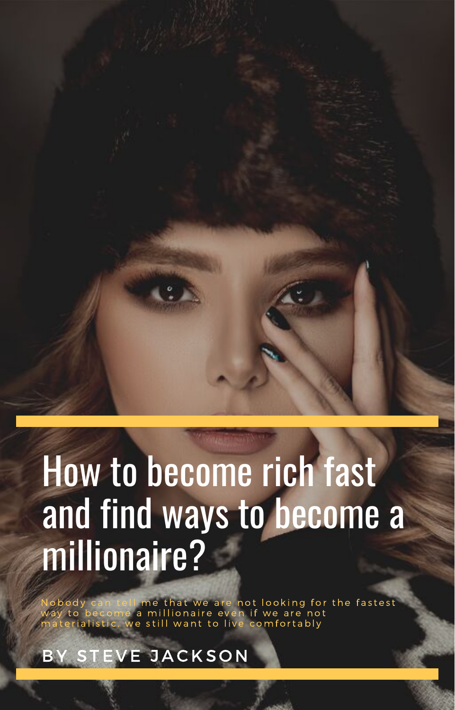# How to become rich fast and find ways to become a millionaire?

Nobody can tell me that we are not looking for the fastest way to become a millionaire even if we are not<br>materialistic, we still want to live comfortably

EVE JACKSON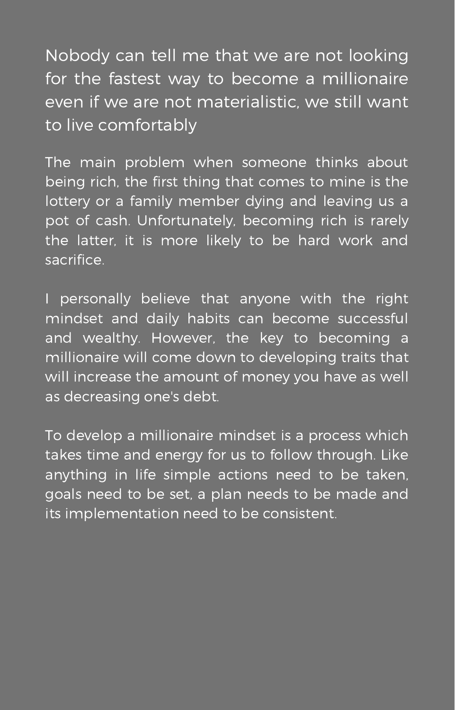Nobody can tell me that we are not looking for the fastest way to become a millionaire even if we are not materialistic, we still want to live comfortably

The main problem when someone thinks about being rich, the first thing that comes to mine is the lottery or a family member dying and leaving us a pot of cash. Unfortunately, becoming rich is rarely the latter, it is more likely to be hard work and sacrifice.

I personally believe that anyone with the right mindset and daily habits can become successful and wealthy. However, the key to becoming a millionaire will come down to developing traits that will increase the amount of money you have as well as decreasing one's debt.

To develop a millionaire mindset is a process which takes time and energy for us to follow through. Like anything in life simple actions need to be taken, goals need to be set, a plan needs to be made and its implementation need to be consistent.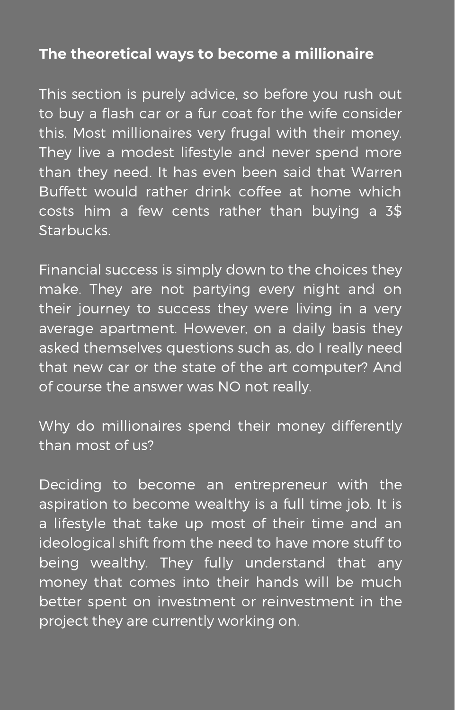### **The theoretical ways to become a millionaire**

This section is purely advice, so before you rush out to buy a flash car or a fur coat for the wife consider this. Most millionaires very frugal with their money. They live a modest lifestyle and never spend more than they need. It has even been said that Warren Buffett would rather drink coffee at home which costs him a few cents rather than buying a 3\$ Starbucks.

Financial success is simply down to the choices they make. They are not partying every night and on their journey to success they were living in a very average apartment. However, on a daily basis they asked themselves questions such as, do I really need that new car or the state of the art computer? And of course the answer was NO not really.

Why do millionaires spend their money differently than most of us?

Deciding to become an entrepreneur with the aspiration to become wealthy is a full time job. It is a lifestyle that take up most of their time and an ideological shift from the need to have more stuff to being wealthy. They fully understand that any money that comes into their hands will be much better spent on investment or reinvestment in the project they are currently working on.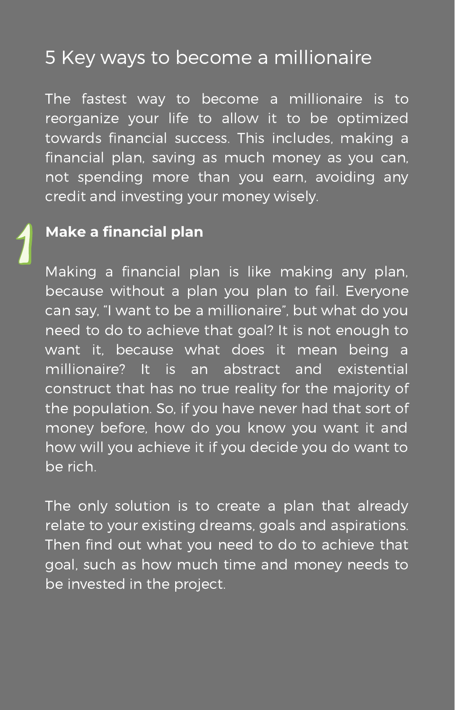# 5 Key ways to become a millionaire

The fastest way to become a millionaire is to reorganize your life to allow it to be optimized towards financial success. This includes, making a financial plan, saving as much money as you can, not spending more than you earn, avoiding any credit and investing your money wisely.

### **Make a financial plan**

Making a financial plan is like making any plan, because without a plan you plan to fail. Everyone can say, "I want to be a millionaire", but what do you need to do to achieve that goal? It is not enough to want it, because what does it mean being a millionaire? It is an abstract and existential construct that has no true reality for the majority of the population. So, if you have never had that sort of money before, how do you know you want it and how will you achieve it if you decide you do want to be rich.

The only solution is to create a plan that already relate to your existing dreams, goals and aspirations. Then find out what you need to do to achieve that goal, such as how much time and money needs to be invested in the project.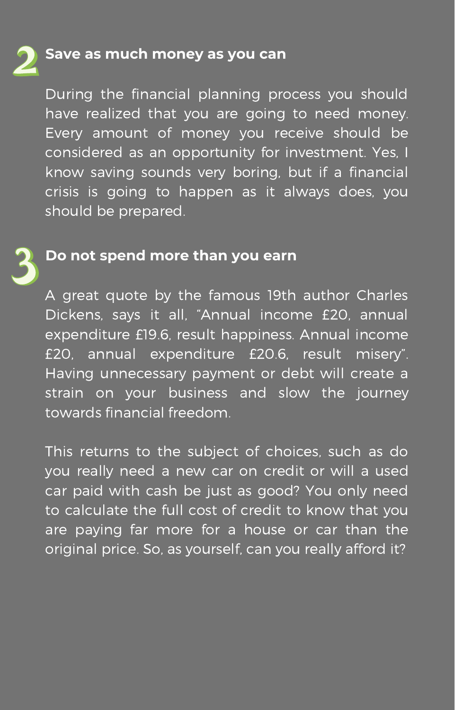#### **Save as much money as you can**

During the financial planning process you should have realized that you are going to need money. Every amount of money you receive should be considered as an opportunity for investment. Yes, I know saving sounds very boring, but if a financial crisis is going to happen as it always does, you should be prepared.

#### **Do not spend more than you earn**

A great quote by the famous 19th author Charles Dickens, says it all, "Annual income £20, annual expenditure £19.6, result happiness. Annual income £20, annual expenditure £20.6, result misery". Having unnecessary payment or debt will create a strain on your business and slow the journey towards financial freedom.

This returns to the subject of choices, such as do you really need a new car on credit or will a used car paid with cash be just as good? You only need to calculate the full cost of credit to know that you are paying far more for a house or car than the original price. So, as yourself, can you really afford it?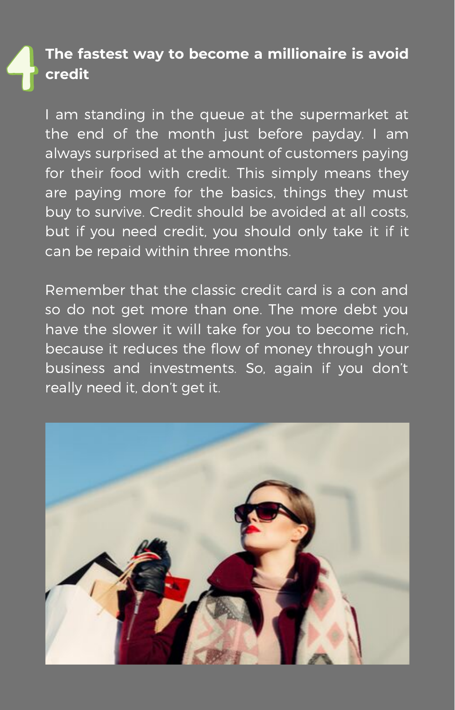## **The fastest way to become a millionaire is avoid credit**

I am standing in the queue at the supermarket at the end of the month just before payday. I am always surprised at the amount of customers paying for their food with credit. This simply means they are paying more for the basics, things they must buy to survive. Credit should be avoided at all costs, but if you need credit, you should only take it if it can be repaid within three months.

Remember that the classic credit card is a con and so do not get more than one. The more debt you have the slower it will take for you to become rich, because it reduces the flow of money through your business and investments. So, again if you don't really need it, don't get it.

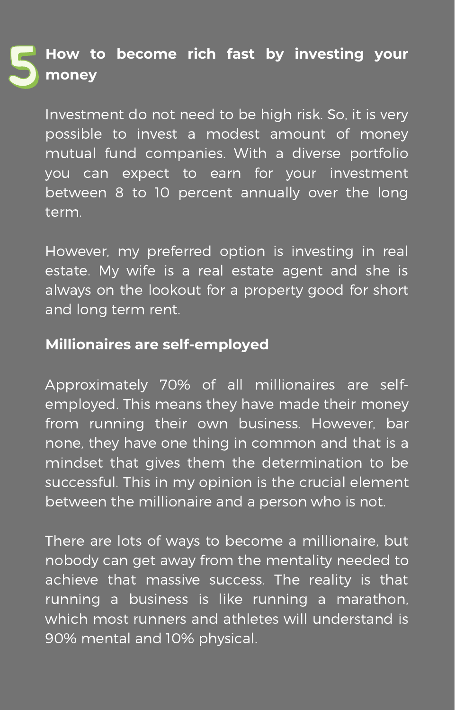# **How to become rich fast by investing your money**

Investment do not need to be high risk. So, it is very possible to invest a modest amount of money mutual fund companies. With a diverse portfolio you can expect to earn for your investment between 8 to 10 percent annually over the long term.

However, my preferred option is investing in real estate. My wife is a real estate agent and she is always on the lookout for a property good for short and long term rent.

#### **Millionaires are self-employed**

Approximately 70% of all millionaires are selfemployed. This means they have made their money from running their own business. However, bar none, they have one thing in common and that is a mindset that gives them the determination to be successful. This in my opinion is the crucial element between the millionaire and a person who is not.

There are lots of ways to become a millionaire, but nobody can get away from the mentality needed to achieve that massive success. The reality is that running a business is like running a marathon, which most runners and athletes will understand is 90% mental and 10% physical.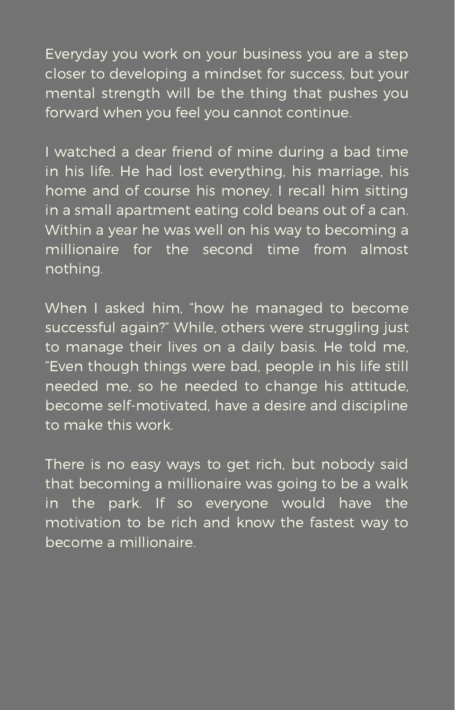Everyday you work on your business you are a step closer to developing a mindset for success, but your mental strength will be the thing that pushes you forward when you feel you cannot continue.

I watched a dear friend of mine during a bad time in his life. He had lost everything, his marriage, his home and of course his money. I recall him sitting in a small apartment eating cold beans out of a can. Within a year he was well on his way to becoming a millionaire for the second time from almost nothing.

When I asked him, "how he managed to become successful again?" While, others were struggling just to manage their lives on a daily basis. He told me, "Even though things were bad, people in his life still needed me, so he needed to change his attitude, become self-motivated, have a desire and discipline to make this work.

There is no easy ways to get rich, but nobody said that becoming a millionaire was going to be a walk in the park. If so everyone would have the motivation to be rich and know the fastest way to become a millionaire.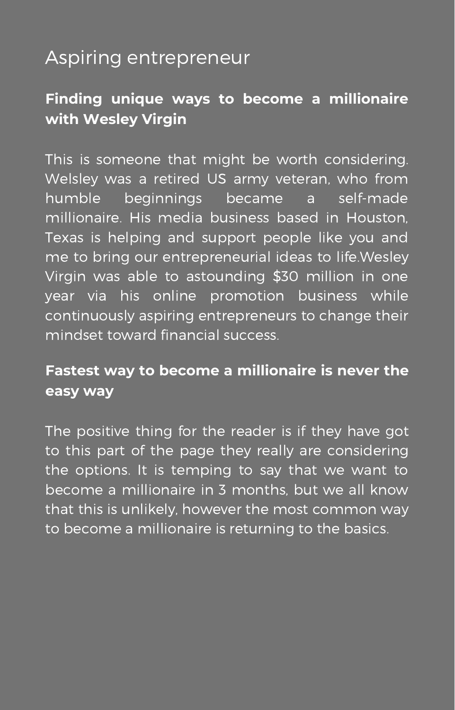# Aspiring entrepreneur

# **Finding unique ways to become a millionaire with Wesley Virgin**

This is someone that might be worth considering. Welsley was a retired US army veteran, who from humble beginnings became a self-made millionaire. His media business based in Houston, Texas is helping and support people like you and me to bring our entrepreneurial ideas to life.Wesley Virgin was able to astounding \$30 million in one year via his online promotion business while continuously aspiring entrepreneurs to change their mindset toward financial success.

## **Fastest way to become a millionaire is never the easy way**

The positive thing for the reader is if they have got to this part of the page they really are considering the options. It is temping to say that we want to become a millionaire in 3 months, but we all know that this is unlikely, however the most common way to become a millionaire is returning to the basics.